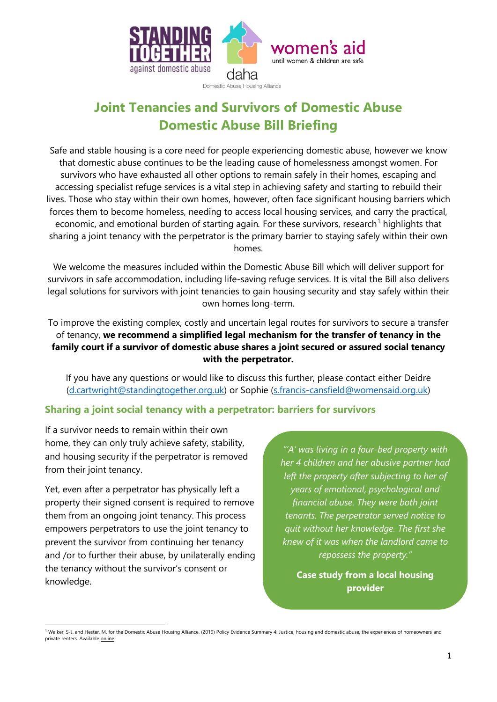

Domestic Abuse Housing Alliance

# **Joint Tenancies and Survivors of Domestic Abuse Domestic Abuse Bill Briefing**

Safe and stable housing is a core need for people experiencing domestic abuse, however we know that domestic abuse continues to be the leading cause of homelessness amongst women. For survivors who have exhausted all other options to remain safely in their homes, escaping and accessing specialist refuge services is a vital step in achieving safety and starting to rebuild their lives. Those who stay within their own homes, however, often face significant housing barriers which forces them to become homeless, needing to access local housing services, and carry the practical, economic, and emotional burden of starting again. For these survivors, research<sup>[1](#page-0-0)</sup> highlights that sharing a joint tenancy with the perpetrator is the primary barrier to staying safely within their own homes.

We welcome the measures included within the Domestic Abuse Bill which will deliver support for survivors in safe accommodation, including life-saving refuge services. It is vital the Bill also delivers legal solutions for survivors with joint tenancies to gain housing security and stay safely within their own homes long-term.

To improve the existing complex, costly and uncertain legal routes for survivors to secure a transfer of tenancy, **we recommend a simplified legal mechanism for the transfer of tenancy in the family court if a survivor of domestic abuse shares a joint secured or assured social tenancy with the perpetrator.**

If you have any questions or would like to discuss this further, please contact either Deidre [\(d.cartwright@standingtogether.org.uk\)](mailto:d.cartwright@standingtogether.org.uk) or Sophie [\(s.francis-cansfield@womensaid.org.uk\)](mailto:s.francis-cansfield@womensaid.org.uk)

## **Sharing a joint social tenancy with a perpetrator: barriers for survivors**

If a survivor needs to remain within their own home, they can only truly achieve safety, stability, and housing security if the perpetrator is removed from their joint tenancy.

Yet, even after a perpetrator has physically left a property their signed consent is required to remove them from an ongoing joint tenancy. This process empowers perpetrators to use the joint tenancy to prevent the survivor from continuing her tenancy and /or to further their abuse, by unilaterally ending the tenancy without the survivor's consent or knowledge.

<u>.</u>

*"'A' was living in a four-bed property with her 4 children and her abusive partner had left the property after subjecting to her of years of emotional, psychological and financial abuse. They were both joint tenants. The perpetrator served notice to quit without her knowledge. The first she knew of it was when the landlord came to repossess the property."*

**Case study from a local housing provider**

<span id="page-0-0"></span><sup>&</sup>lt;sup>1</sup> Walker, S-J. and Hester, M. for the Domestic Abuse Housing Alliance. (2019) Policy Evidence Summary 4: Justice, housing and domestic abuse, the experiences of homeowners and private renters. Availabl[e online](https://survivingeconomicabuse.org/newreport-demonstrates-need-for-whole-housing-approach-for-victim-survivors-of-domestic-abuse/)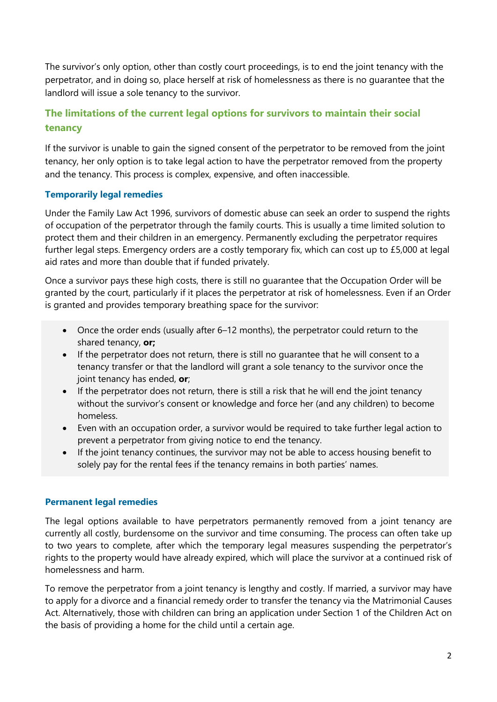The survivor's only option, other than costly court proceedings, is to end the joint tenancy with the perpetrator, and in doing so, place herself at risk of homelessness as there is no guarantee that the landlord will issue a sole tenancy to the survivor.

# **The limitations of the current legal options for survivors to maintain their social tenancy**

If the survivor is unable to gain the signed consent of the perpetrator to be removed from the joint tenancy, her only option is to take legal action to have the perpetrator removed from the property and the tenancy. This process is complex, expensive, and often inaccessible.

## **Temporarily legal remedies**

Under the Family Law Act 1996, survivors of domestic abuse can seek an order to suspend the rights of occupation of the perpetrator through the family courts. This is usually a time limited solution to protect them and their children in an emergency. Permanently excluding the perpetrator requires further legal steps. Emergency orders are a costly temporary fix, which can cost up to £5,000 at legal aid rates and more than double that if funded privately.

Once a survivor pays these high costs, there is still no guarantee that the Occupation Order will be granted by the court, particularly if it places the perpetrator at risk of homelessness. Even if an Order is granted and provides temporary breathing space for the survivor:

- Once the order ends (usually after 6–12 months), the perpetrator could return to the shared tenancy, **or;**
- If the perpetrator does not return, there is still no quarantee that he will consent to a tenancy transfer or that the landlord will grant a sole tenancy to the survivor once the joint tenancy has ended, **or**;
- If the perpetrator does not return, there is still a risk that he will end the joint tenancy without the survivor's consent or knowledge and force her (and any children) to become homeless.
- Even with an occupation order, a survivor would be required to take further legal action to prevent a perpetrator from giving notice to end the tenancy.
- If the joint tenancy continues, the survivor may not be able to access housing benefit to solely pay for the rental fees if the tenancy remains in both parties' names.

#### **Permanent legal remedies**

The legal options available to have perpetrators permanently removed from a joint tenancy are currently all costly, burdensome on the survivor and time consuming. The process can often take up to two years to complete, after which the temporary legal measures suspending the perpetrator's rights to the property would have already expired, which will place the survivor at a continued risk of homelessness and harm.

To remove the perpetrator from a joint tenancy is lengthy and costly. If married, a survivor may have to apply for a divorce and a financial remedy order to transfer the tenancy via the Matrimonial Causes Act. Alternatively, those with children can bring an application under Section 1 of the Children Act on the basis of providing a home for the child until a certain age.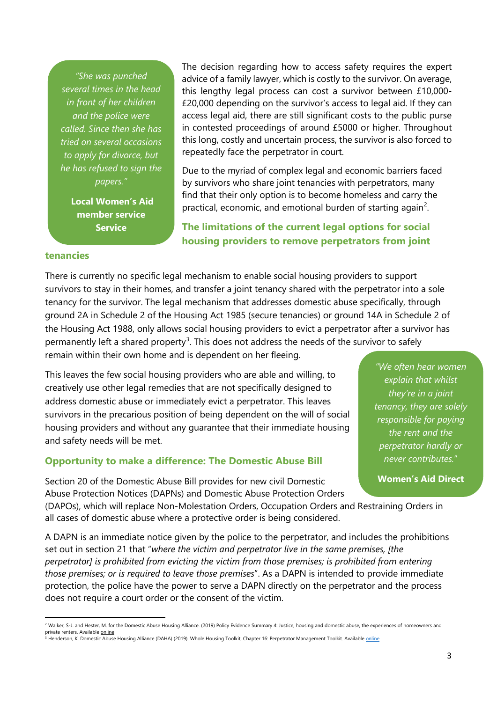*"She was punched several times in the head in front of her children and the police were called. Since then she has tried on several occasions to apply for divorce, but he has refused to sign the papers."*

> **Local Women's Aid member service Service**

The decision regarding how to access safety requires the expert advice of a family lawyer, which is costly to the survivor. On average, this lengthy legal process can cost a survivor between £10,000- £20,000 depending on the survivor's access to legal aid. If they can access legal aid, there are still significant costs to the public purse in contested proceedings of around £5000 or higher. Throughout this long, costly and uncertain process, the survivor is also forced to repeatedly face the perpetrator in court.

Due to the myriad of complex legal and economic barriers faced by survivors who share joint tenancies with perpetrators, many find that their only option is to become homeless and carry the practical, economic, and emotional burden of starting again<sup>[2](#page-2-0)</sup>.

**The limitations of the current legal options for social housing providers to remove perpetrators from joint** 

#### **tenancies**

**.** 

There is currently no specific legal mechanism to enable social housing providers to support survivors to stay in their homes, and transfer a joint tenancy shared with the perpetrator into a sole tenancy for the survivor. The legal mechanism that addresses domestic abuse specifically, through ground 2A in Schedule 2 of the Housing Act 1985 (secure tenancies) or ground 14A in Schedule 2 of the Housing Act 1988, only allows social housing providers to evict a perpetrator after a survivor has permanently left a shared property<sup>[3](#page-2-1)</sup>. This does not address the needs of the survivor to safely remain within their own home and is dependent on her fleeing.

This leaves the few social housing providers who are able and willing, to creatively use other legal remedies that are not specifically designed to address domestic abuse or immediately evict a perpetrator. This leaves survivors in the precarious position of being dependent on the will of social housing providers and without any guarantee that their immediate housing and safety needs will be met.

#### **Opportunity to make a difference: The Domestic Abuse Bill**

Section 20 of the Domestic Abuse Bill provides for new civil Domestic Abuse Protection Notices (DAPNs) and Domestic Abuse Protection Orders

*"We often hear women explain that whilst they're in a joint tenancy, they are solely responsible for paying the rent and the perpetrator hardly or never contributes.*"

**Women's Aid Direct** 

(DAPOs), which will replace Non-Molestation Orders, Occupation Orders and Restraining Orders in all cases of domestic abuse where a protective order is being considered.

A DAPN is an immediate notice given by the police to the perpetrator, and includes the prohibitions set out in section 21 that "*where the victim and perpetrator live in the same premises, [the perpetrator] is prohibited from evicting the victim from those premises; is prohibited from entering those premises; or is required to leave those premises*". As a DAPN is intended to provide immediate protection, the police have the power to serve a DAPN directly on the perpetrator and the process does not require a court order or the consent of the victim.

<span id="page-2-0"></span><sup>&</sup>lt;sup>2</sup> Walker, S-J. and Hester, M. for the Domestic Abuse Housing Alliance. (2019) Policy Evidence Summary 4: Justice, housing and domestic abuse, the experiences of homeowners and private renters. Available <u>online</u><br><sup>3</sup> Henderson, K. Domestic Abuse Housing Alliance (DAHA) (2019). Whole Housing Toolkit, Chapter 16: Perpetrator Management Toolkit. Available <u>online</u>

<span id="page-2-1"></span>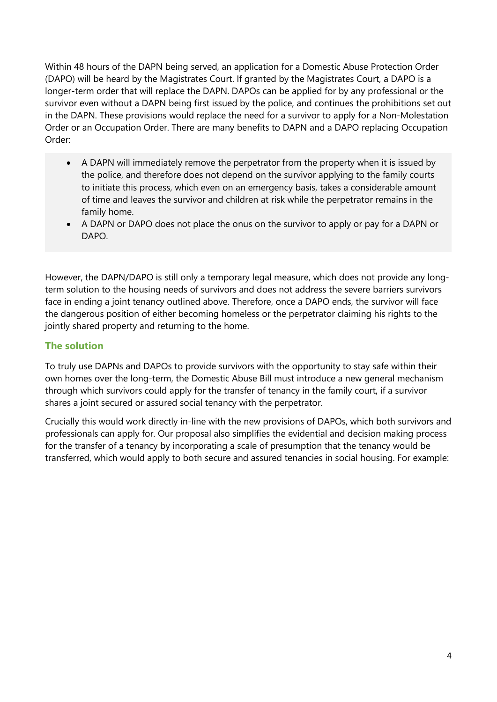Within 48 hours of the DAPN being served, an application for a Domestic Abuse Protection Order (DAPO) will be heard by the Magistrates Court. If granted by the Magistrates Court, a DAPO is a longer-term order that will replace the DAPN. DAPOs can be applied for by any professional or the survivor even without a DAPN being first issued by the police, and continues the prohibitions set out in the DAPN. These provisions would replace the need for a survivor to apply for a Non-Molestation Order or an Occupation Order. There are many benefits to DAPN and a DAPO replacing Occupation Order:

- A DAPN will immediately remove the perpetrator from the property when it is issued by the police, and therefore does not depend on the survivor applying to the family courts to initiate this process, which even on an emergency basis, takes a considerable amount of time and leaves the survivor and children at risk while the perpetrator remains in the family home.
- A DAPN or DAPO does not place the onus on the survivor to apply or pay for a DAPN or DAPO.

However, the DAPN/DAPO is still only a temporary legal measure, which does not provide any longterm solution to the housing needs of survivors and does not address the severe barriers survivors face in ending a joint tenancy outlined above. Therefore, once a DAPO ends, the survivor will face the dangerous position of either becoming homeless or the perpetrator claiming his rights to the jointly shared property and returning to the home.

## **The solution**

To truly use DAPNs and DAPOs to provide survivors with the opportunity to stay safe within their own homes over the long-term, the Domestic Abuse Bill must introduce a new general mechanism through which survivors could apply for the transfer of tenancy in the family court, if a survivor shares a joint secured or assured social tenancy with the perpetrator.

Crucially this would work directly in-line with the new provisions of DAPOs, which both survivors and professionals can apply for. Our proposal also simplifies the evidential and decision making process for the transfer of a tenancy by incorporating a scale of presumption that the tenancy would be transferred, which would apply to both secure and assured tenancies in social housing. For example: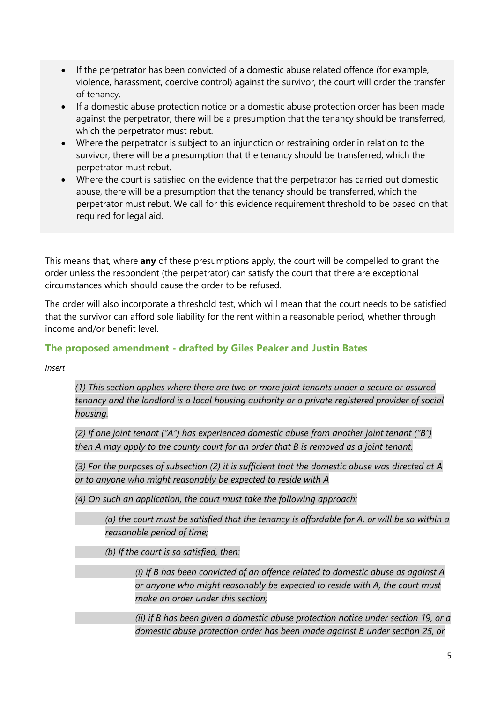- If the perpetrator has been convicted of a domestic abuse related offence (for example, violence, harassment, coercive control) against the survivor, the court will order the transfer of tenancy.
- If a domestic abuse protection notice or a domestic abuse protection order has been made against the perpetrator, there will be a presumption that the tenancy should be transferred, which the perpetrator must rebut.
- Where the perpetrator is subject to an injunction or restraining order in relation to the survivor, there will be a presumption that the tenancy should be transferred, which the perpetrator must rebut.
- Where the court is satisfied on the evidence that the perpetrator has carried out domestic abuse, there will be a presumption that the tenancy should be transferred, which the perpetrator must rebut. We call for this evidence requirement threshold to be based on that required for legal aid.

This means that, where **any** of these presumptions apply, the court will be compelled to grant the order unless the respondent (the perpetrator) can satisfy the court that there are exceptional circumstances which should cause the order to be refused.

The order will also incorporate a threshold test, which will mean that the court needs to be satisfied that the survivor can afford sole liability for the rent within a reasonable period, whether through income and/or benefit level.

## **The proposed amendment - drafted by Giles Peaker and Justin Bates**

*Insert*

*(1) This section applies where there are two or more joint tenants under a secure or assured tenancy and the landlord is a local housing authority or a private registered provider of social housing.*

*(2) If one joint tenant ("A") has experienced domestic abuse from another joint tenant ("B") then A may apply to the county court for an order that B is removed as a joint tenant.* 

*(3) For the purposes of subsection (2) it is sufficient that the domestic abuse was directed at A or to anyone who might reasonably be expected to reside with A*

*(4) On such an application, the court must take the following approach:*

*(a) the court must be satisfied that the tenancy is affordable for A, or will be so within a reasonable period of time;*

*(b) If the court is so satisfied, then:*

*(i) if B has been convicted of an offence related to domestic abuse as against A or anyone who might reasonably be expected to reside with A, the court must make an order under this section;*

*(ii) if B has been given a domestic abuse protection notice under section 19, or a domestic abuse protection order has been made against B under section 25, or*